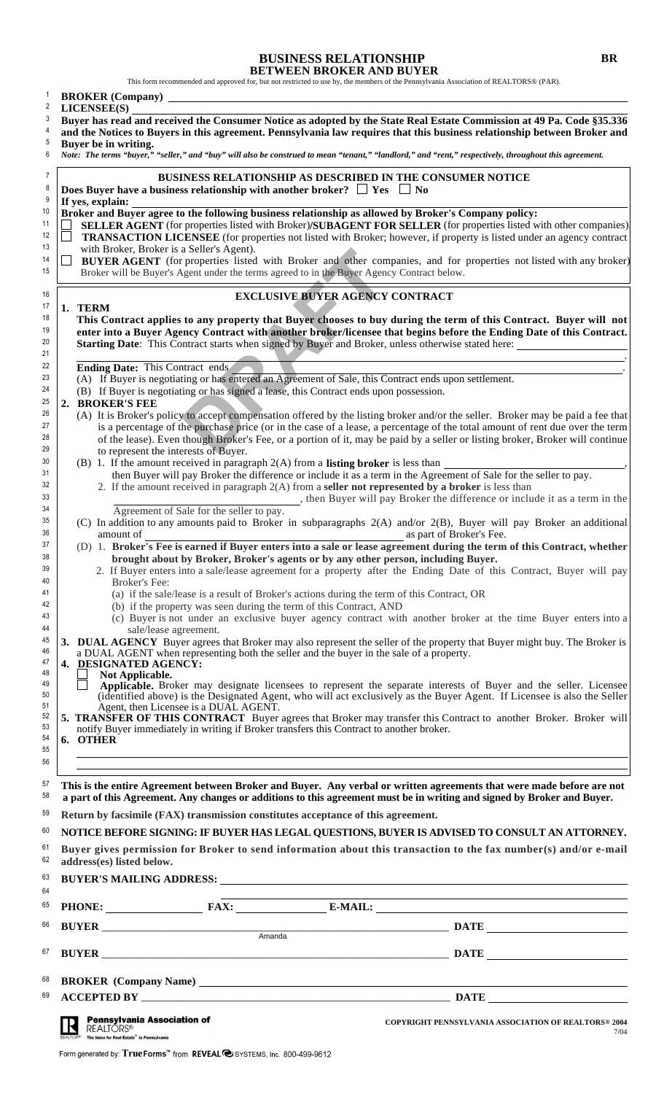# **BUSINESS RELATIONSHIP BR**

**BETWEEN BROKER AND BUYER**<br>This form recommended and approved for, but not restricted to use by, the members of the Pennsylvania Association of REALTORS® (PAR).

|                | <b>BROKER</b> (Company)                                                                                                                                                                                                                                                                              |
|----------------|------------------------------------------------------------------------------------------------------------------------------------------------------------------------------------------------------------------------------------------------------------------------------------------------------|
| 2<br>3         | LICENSEE(S)<br>Buyer has read and received the Consumer Notice as adopted by the State Real Estate Commission at 49 Pa. Code §35.336                                                                                                                                                                 |
| 4<br>5         | and the Notices to Buyers in this agreement. Pennsylvania law requires that this business relationship between Broker and                                                                                                                                                                            |
| 6              | Buyer be in writing.<br>Note: The terms "buyer," "seller," and "buy" will also be construed to mean "tenant," "landlord," and "rent," respectively, throughout this agreement.                                                                                                                       |
| 7<br>8<br>9    | <b>BUSINESS RELATIONSHIP AS DESCRIBED IN THE CONSUMER NOTICE</b><br>Does Buyer have a business relationship with another broker? $\Box$ Yes $\Box$ No<br>If yes, explain:                                                                                                                            |
| 10             | Broker and Buyer agree to the following business relationship as allowed by Broker's Company policy:                                                                                                                                                                                                 |
| 11<br>12<br>13 | <b>SELLER AGENT</b> (for properties listed with Broker)/SUBAGENT FOR SELLER (for properties listed with other companies)<br><b>TRANSACTION LICENSEE</b> (for properties not listed with Broker; however, if property is listed under an agency contract<br>with Broker, Broker is a Seller's Agent). |
| 14<br>15       | <b>BUYER AGENT</b> (for properties listed with Broker and other companies, and for properties not listed with any broker)<br>Broker will be Buyer's Agent under the terms agreed to in the Buyer Agency Contract below.                                                                              |
| 16             | <b>EXCLUSIVE BUYER AGENCY CONTRACT</b>                                                                                                                                                                                                                                                               |
| 17<br>18       | 1. TERM<br>This Contract applies to any property that Buyer chooses to buy during the term of this Contract. Buyer will not                                                                                                                                                                          |
| 19<br>20       | enter into a Buyer Agency Contract with another broker/licensee that begins before the Ending Date of this Contract.                                                                                                                                                                                 |
| 21             | Starting Date: This Contract starts when signed by Buyer and Broker, unless otherwise stated here:                                                                                                                                                                                                   |
| 22<br>23       | Ending Date: This Contract ends<br>(A) If Buyer is negotiating or has entered an Agreement of Sale, this Contract ends upon settlement.                                                                                                                                                              |
| 24             | (B) If Buyer is negotiating or has signed a lease, this Contract ends upon possession.                                                                                                                                                                                                               |
| 25<br>2.<br>26 | <b>BROKER'S FEE</b><br>(A) It is Broker's policy to accept compensation offered by the listing broker and/or the seller. Broker may be paid a fee that                                                                                                                                               |
| 27<br>28       | is a percentage of the purchase price (or in the case of a lease, a percentage of the total amount of rent due over the term<br>of the lease). Even though Broker's Fee, or a portion of it, may be paid by a seller or listing broker, Broker will continue                                         |
| 29<br>30       | to represent the interests of Buyer.<br>(B) 1. If the amount received in paragraph $2(A)$ from a <b>listing broker</b> is less than                                                                                                                                                                  |
| 31             | then Buyer will pay Broker the difference or include it as a term in the Agreement of Sale for the seller to pay.                                                                                                                                                                                    |
| 32<br>33       | 2. If the amount received in paragraph $2(A)$ from a seller not represented by a broker is less than<br>_, then Buyer will pay Broker the difference or include it as a term in the                                                                                                                  |
| 34             | Agreement of Sale for the seller to pay.                                                                                                                                                                                                                                                             |
| 35<br>36       | (C) In addition to any amounts paid to Broker in subparagraphs 2(A) and/or 2(B), Buyer will pay Broker an additional<br>amount of<br>as part of Broker's Fee.                                                                                                                                        |
| 37             | (D) 1. Broker's Fee is earned if Buyer enters into a sale or lease agreement during the term of this Contract, whether                                                                                                                                                                               |
| 38<br>39       | brought about by Broker, Broker's agents or by any other person, including Buyer.<br>2. If Buyer enters into a sale/lease agreement for a property after the Ending Date of this Contract, Buyer will pay                                                                                            |
| 40<br>41       | Broker's Fee:                                                                                                                                                                                                                                                                                        |
| 42             | (a) if the sale/lease is a result of Broker's actions during the term of this Contract, OR<br>(b) if the property was seen during the term of this Contract, AND                                                                                                                                     |
| 43<br>44       | (c) Buyer is not under an exclusive buyer agency contract with another broker at the time Buyer enters into a<br>sale/lease agreement.                                                                                                                                                               |
| 45             | 3. DUAL AGENCY Buyer agrees that Broker may also represent the seller of the property that Buyer might buy. The Broker is                                                                                                                                                                            |
| 46<br>47       | a DUAL AGENT when representing both the seller and the buyer in the sale of a property.<br>4. DESIGNATED AGENCY:                                                                                                                                                                                     |
| 48<br>49       | Not Applicable.<br>Applicable. Broker may designate licensees to represent the separate interests of Buyer and the seller. Licensee                                                                                                                                                                  |
| 50             | (identified above) is the Designated Agent, who will act exclusively as the Buyer Agent. If Licensee is also the Seller                                                                                                                                                                              |
| 51<br>52       | Agent, then Licensee is a DUAL AGENT.<br>5. TRANSFER OF THIS CONTRACT Buyer agrees that Broker may transfer this Contract to another Broker. Broker will                                                                                                                                             |
| 53<br>54       | notify Buyer immediately in writing if Broker transfers this Contract to another broker.<br>6. OTHER                                                                                                                                                                                                 |
| 55             |                                                                                                                                                                                                                                                                                                      |
| 56<br>57       |                                                                                                                                                                                                                                                                                                      |
| 58             | This is the entire Agreement between Broker and Buyer. Any verbal or written agreements that were made before are not<br>a part of this Agreement. Any changes or additions to this agreement must be in writing and signed by Broker and Buyer.                                                     |
| 59             | Return by facsimile (FAX) transmission constitutes acceptance of this agreement.                                                                                                                                                                                                                     |
| 60             | NOTICE BEFORE SIGNING: IF BUYER HAS LEGAL QUESTIONS, BUYER IS ADVISED TO CONSULT AN ATTORNEY.                                                                                                                                                                                                        |
| 61<br>62       | Buyer gives permission for Broker to send information about this transaction to the fax number(s) and/or e-mail<br>address(es) listed below.                                                                                                                                                         |
| 63<br>64       | the control of the control of the control of the control of the control of the control of the control of the control of the control of the control of the control of the control of the control of the control of the control                                                                        |
| 65             |                                                                                                                                                                                                                                                                                                      |
| 66             | Amanda                                                                                                                                                                                                                                                                                               |
| 67             |                                                                                                                                                                                                                                                                                                      |
| 68             |                                                                                                                                                                                                                                                                                                      |
| 69             |                                                                                                                                                                                                                                                                                                      |
|                | Pennsylvania Association of<br><b>COPYRIGHT PENNSYLVANIA ASSOCIATION OF REALTORS® 2004</b><br><b>REALTORS®</b><br>7/04<br>The Voice for Real Estate <sup>®</sup> in Pennsylvania                                                                                                                     |